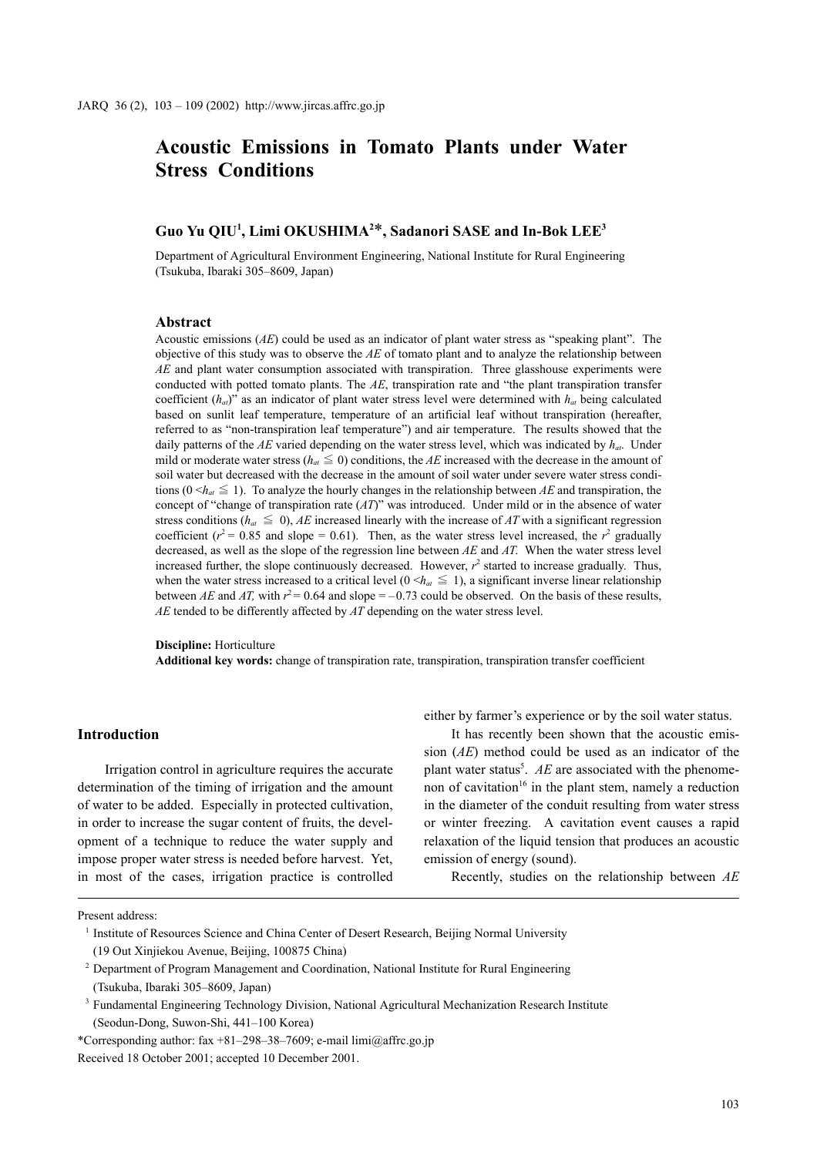# **Guo Yu QIU1 , Limi OKUSHIMA2** \***, Sadanori SASE and In-Bok LEE3**

Department of Agricultural Environment Engineering, National Institute for Rural Engineering (Tsukuba, Ibaraki 305–8609, Japan)

### **Abstract**

Acoustic emissions (*AE*) could be used as an indicator of plant water stress as "speaking plant". The objective of this study was to observe the *AE* of tomato plant and to analyze the relationship between *AE* and plant water consumption associated with transpiration. Three glasshouse experiments were conducted with potted tomato plants. The *AE*, transpiration rate and "the plant transpiration transfer coefficient  $(h_{a}$ <sup>"</sup> as an indicator of plant water stress level were determined with  $h_{a}$ <sup>t</sup> being calculated based on sunlit leaf temperature, temperature of an artificial leaf without transpiration (hereafter, referred to as "non-transpiration leaf temperature") and air temperature. The results showed that the daily patterns of the  $AE$  varied depending on the water stress level, which was indicated by  $h_{at}$ . Under mild or moderate water stress ( $h_{at} \leq 0$ ) conditions, the *AE* increased with the decrease in the amount of soil water but decreased with the decrease in the amount of soil water under severe water stress conditions (0  $\langle h_{at} \leq 1$ ). To analyze the hourly changes in the relationship between *AE* and transpiration, the concept of "change of transpiration rate (*AT*)" was introduced. Under mild or in the absence of water stress conditions ( $h_{at} \leq 0$ ), *AE* increased linearly with the increase of *AT* with a significant regression coefficient  $(r^2 = 0.85$  and slope = 0.61). Then, as the water stress level increased, the  $r^2$  gradually decreased, as well as the slope of the regression line between *AE* and *AT*. When the water stress level increased further, the slope continuously decreased. However,  $r^2$  started to increase gradually. Thus, when the water stress increased to a critical level  $(0 \le h_{at} \le 1)$ , a significant inverse linear relationship between *AE* and *AT*, with  $r^2 = 0.64$  and slope  $= -0.73$  could be observed. On the basis of these results, *AE* tended to be differently affected by *AT* depending on the water stress level.

**Discipline:** Horticulture **Additional key words:** change of transpiration rate, transpiration, transpiration transfer coefficient

## **Introduction**

Irrigation control in agriculture requires the accurate determination of the timing of irrigation and the amount of water to be added. Especially in protected cultivation, in order to increase the sugar content of fruits, the development of a technique to reduce the water supply and impose proper water stress is needed before harvest. Yet, in most of the cases, irrigation practice is controlled either by farmer's experience or by the soil water status.

It has recently been shown that the acoustic emission (*AE*) method could be used as an indicator of the plant water status<sup>5</sup>.  $AE$  are associated with the phenomenon of cavitation<sup>16</sup> in the plant stem, namely a reduction in the diameter of the conduit resulting from water stress or winter freezing. A cavitation event causes a rapid relaxation of the liquid tension that produces an acoustic emission of energy (sound).

Recently, studies on the relationship between *AE*

Present address:

- <sup>2</sup> Department of Program Management and Coordination, National Institute for Rural Engineering (Tsukuba, Ibaraki 305–8609, Japan)
- <sup>3</sup> Fundamental Engineering Technology Division, National Agricultural Mechanization Research Institute (Seodun-Dong, Suwon-Shi, 441–100 Korea)
- \*Corresponding author: fax +81–298–38–7609; e-mail  $\lim_{a \to a}$   $\lim_{b \to a}$   $\lim_{b \to a}$

Received 18 October 2001; accepted 10 December 2001.

<sup>&</sup>lt;sup>1</sup> Institute of Resources Science and China Center of Desert Research, Beijing Normal University (19 Out Xinjiekou Avenue, Beijing, 100875 China)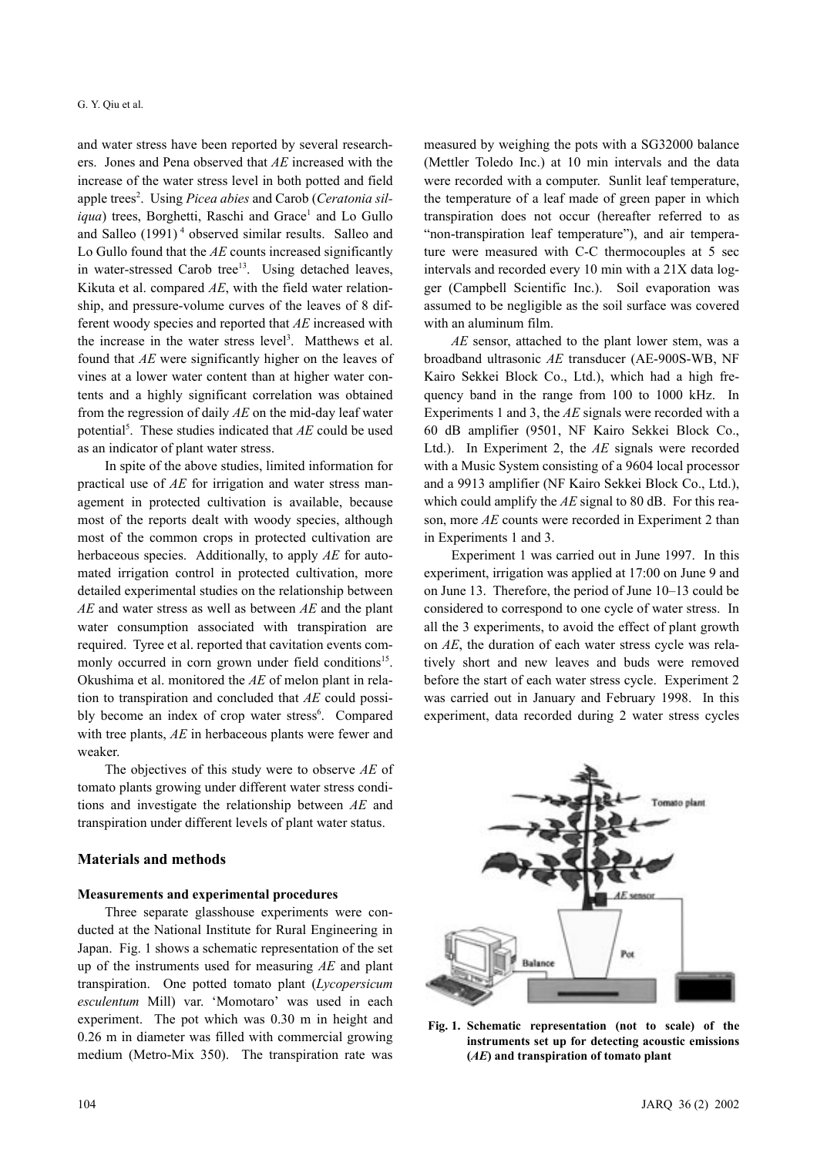and water stress have been reported by several researchers. Jones and Pena observed that *AE* increased with the increase of the water stress level in both potted and field apple trees<sup>2</sup>. Using Picea abies and Carob (Ceratonia siliqua) trees, Borghetti, Raschi and Grace<sup>1</sup> and Lo Gullo and Salleo (1991)<sup>4</sup> observed similar results. Salleo and Lo Gullo found that the *AE* counts increased significantly in water-stressed Carob tree<sup>13</sup>. Using detached leaves, Kikuta et al. compared *AE*, with the field water relationship, and pressure-volume curves of the leaves of 8 different woody species and reported that *AE* increased with the increase in the water stress level<sup>3</sup>. Matthews et al. found that *AE* were significantly higher on the leaves of vines at a lower water content than at higher water contents and a highly significant correlation was obtained from the regression of daily *AE* on the mid-day leaf water potential<sup>5</sup>. These studies indicated that *AE* could be used as an indicator of plant water stress.

In spite of the above studies, limited information for practical use of *AE* for irrigation and water stress management in protected cultivation is available, because most of the reports dealt with woody species, although most of the common crops in protected cultivation are herbaceous species. Additionally, to apply *AE* for automated irrigation control in protected cultivation, more detailed experimental studies on the relationship between *AE* and water stress as well as between *AE* and the plant water consumption associated with transpiration are required. Tyree et al. reported that cavitation events commonly occurred in corn grown under field conditions<sup>15</sup>. Okushima et al. monitored the *AE* of melon plant in relation to transpiration and concluded that *AE* could possibly become an index of crop water stress<sup>6</sup>. Compared with tree plants, *AE* in herbaceous plants were fewer and weaker.

The objectives of this study were to observe *AE* of tomato plants growing under different water stress conditions and investigate the relationship between *AE* and transpiration under different levels of plant water status.

## **Materials and methods**

#### **Measurements and experimental procedures**

Three separate glasshouse experiments were conducted at the National Institute for Rural Engineering in Japan. Fig. 1 shows a schematic representation of the set up of the instruments used for measuring *AE* and plant transpiration. One potted tomato plant (*Lycopersicum esculentum* Mill) var. 'Momotaro' was used in each experiment. The pot which was 0.30 m in height and 0.26 m in diameter was filled with commercial growing medium (Metro-Mix 350). The transpiration rate was

measured by weighing the pots with a SG32000 balance (Mettler Toledo Inc.) at 10 min intervals and the data were recorded with a computer. Sunlit leaf temperature, the temperature of a leaf made of green paper in which transpiration does not occur (hereafter referred to as "non-transpiration leaf temperature"), and air temperature were measured with C-C thermocouples at 5 sec intervals and recorded every 10 min with a 21X data logger (Campbell Scientific Inc.). Soil evaporation was assumed to be negligible as the soil surface was covered with an aluminum film.

*AE* sensor, attached to the plant lower stem, was a broadband ultrasonic *AE* transducer (AE-900S-WB, NF Kairo Sekkei Block Co., Ltd.), which had a high frequency band in the range from 100 to 1000 kHz. In Experiments 1 and 3, the *AE* signals were recorded with a 60 dB amplifier (9501, NF Kairo Sekkei Block Co., Ltd.). In Experiment 2, the *AE* signals were recorded with a Music System consisting of a 9604 local processor and a 9913 amplifier (NF Kairo Sekkei Block Co., Ltd.), which could amplify the *AE* signal to 80 dB. For this reason, more *AE* counts were recorded in Experiment 2 than in Experiments 1 and 3.

Experiment 1 was carried out in June 1997. In this experiment, irrigation was applied at 17:00 on June 9 and on June 13. Therefore, the period of June 10–13 could be considered to correspond to one cycle of water stress. In all the 3 experiments, to avoid the effect of plant growth on *AE*, the duration of each water stress cycle was relatively short and new leaves and buds were removed before the start of each water stress cycle. Experiment 2 was carried out in January and February 1998. In this experiment, data recorded during 2 water stress cycles



**Fig. 1. Schematic representation (not to scale) of the instruments set up for detecting acoustic emissions (***AE***) and transpiration of tomato plant**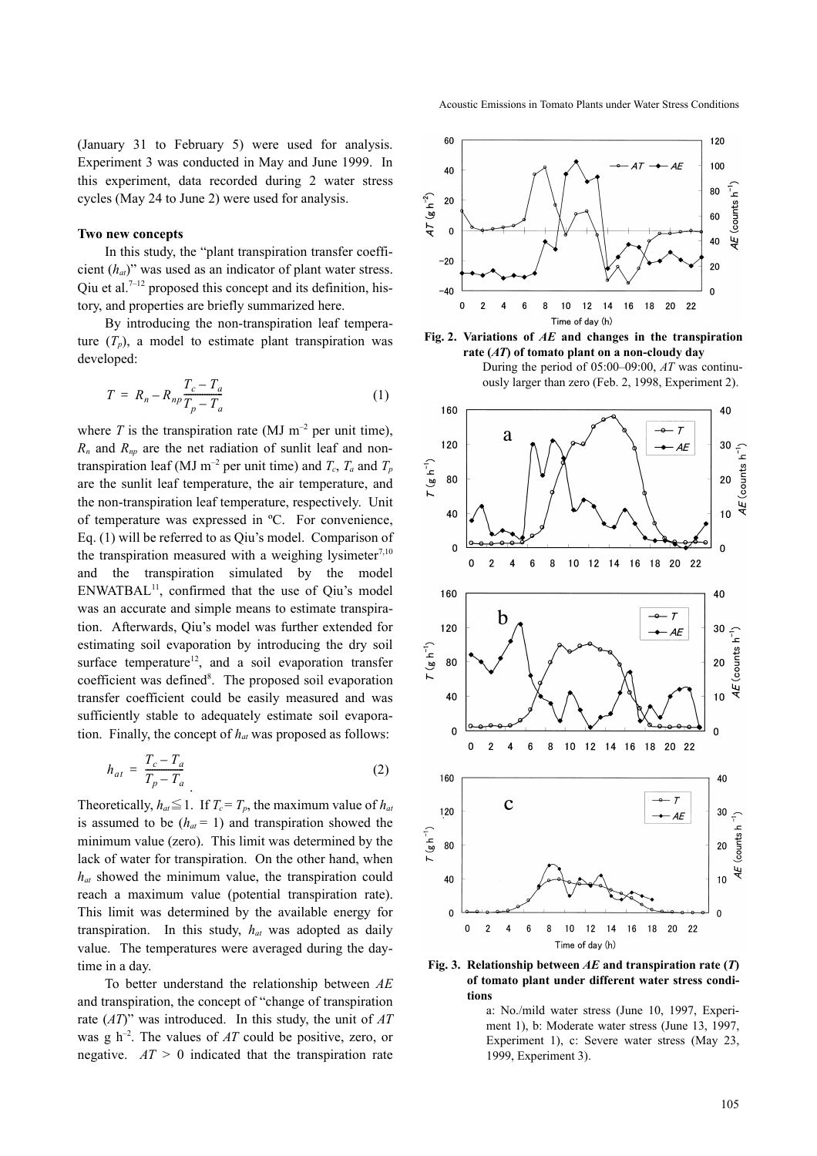(January 31 to February 5) were used for analysis. Experiment 3 was conducted in May and June 1999. In this experiment, data recorded during 2 water stress cycles (May 24 to June 2) were used for analysis.

#### **Two new concepts**

In this study, the "plant transpiration transfer coefficient (*hat*)" was used as an indicator of plant water stress. Qiu et al.<sup>7-12</sup> proposed this concept and its definition, history, and properties are briefly summarized here.

By introducing the non-transpiration leaf temperature  $(T_p)$ , a model to estimate plant transpiration was developed:

$$
T = R_n - R_{np} \frac{T_c - T_a}{T_p - T_a} \tag{1}
$$

where *T* is the transpiration rate (MJ  $m^{-2}$  per unit time), *Rn* and *Rnp* are the net radiation of sunlit leaf and nontranspiration leaf (MJ m<sup>-2</sup> per unit time) and  $T_c$ ,  $T_a$  and  $T_p$ are the sunlit leaf temperature, the air temperature, and the non-transpiration leaf temperature, respectively. Unit of temperature was expressed in ºC. For convenience, Eq. (1) will be referred to as Qiu's model. Comparison of the transpiration measured with a weighing lysimeter<sup>7,10</sup> and the transpiration simulated by the model  $ENWATBAL^{11}$ , confirmed that the use of Qiu's model was an accurate and simple means to estimate transpiration. Afterwards, Qiu's model was further extended for estimating soil evaporation by introducing the dry soil surface temperature<sup>12</sup>, and a soil evaporation transfer coefficient was defined<sup>8</sup>. The proposed soil evaporation transfer coefficient could be easily measured and was sufficiently stable to adequately estimate soil evaporation. Finally, the concept of *hat* was proposed as follows:

$$
h_{at} = \frac{T_c - T_a}{T_p - T_a} \tag{2}
$$

Theoretically,  $h_{at} \leq 1$ . If  $T_c = T_p$ , the maximum value of  $h_{at}$ is assumed to be  $(h_{at} = 1)$  and transpiration showed the minimum value (zero). This limit was determined by the lack of water for transpiration. On the other hand, when *hat* showed the minimum value, the transpiration could reach a maximum value (potential transpiration rate). This limit was determined by the available energy for transpiration. In this study, *hat* was adopted as daily value. The temperatures were averaged during the daytime in a day.

To better understand the relationship between *AE* and transpiration, the concept of "change of transpiration rate (*AT*)" was introduced. In this study, the unit of *AT* was g h–2. The values of *AT* could be positive, zero, or negative. *AT >* 0 indicated that the transpiration rate







**Fig. 3. Relationship between** *AE* **and transpiration rate (***T***) of tomato plant under different water stress conditions** 

a: No./mild water stress (June 10, 1997, Experiment 1), b: Moderate water stress (June 13, 1997, Experiment 1), c: Severe water stress (May 23, 1999, Experiment 3).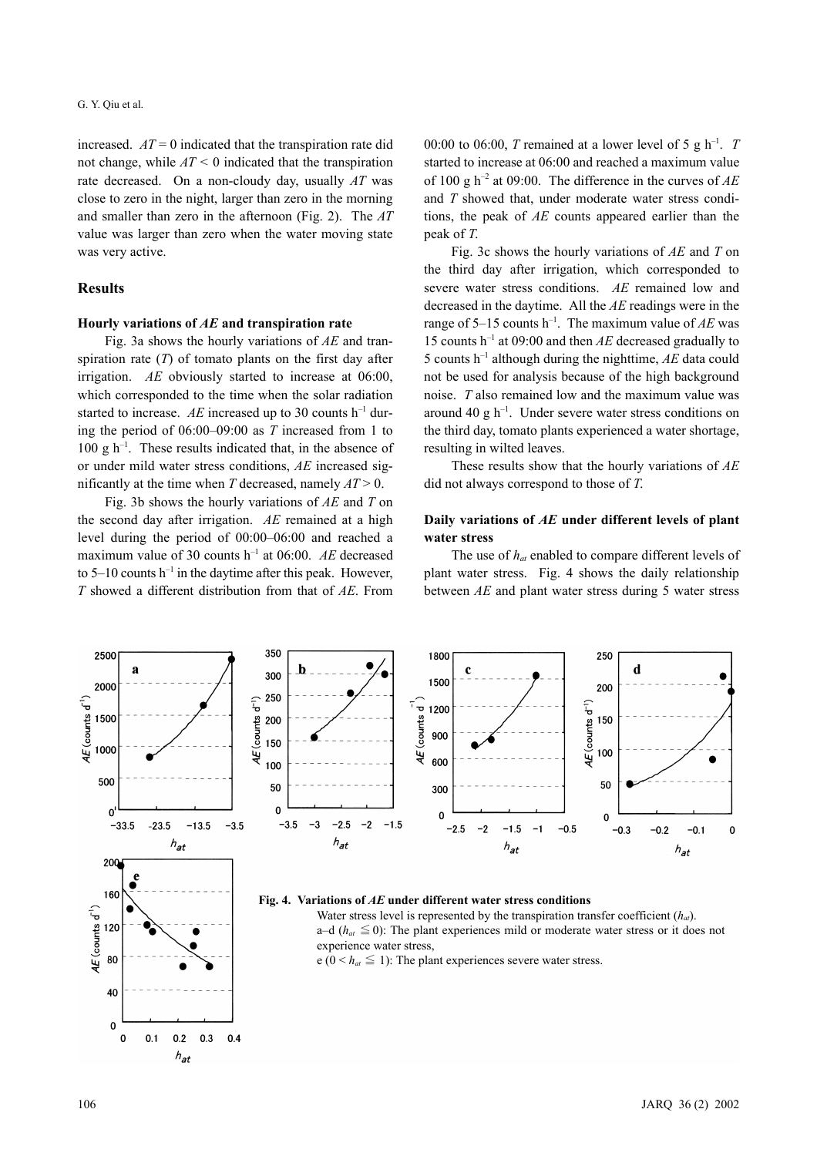increased.  $AT = 0$  indicated that the transpiration rate did not change, while  $AT < 0$  indicated that the transpiration rate decreased. On a non-cloudy day, usually *AT* was close to zero in the night, larger than zero in the morning and smaller than zero in the afternoon (Fig. 2). The *AT* value was larger than zero when the water moving state was very active.

### **Results**

### **Hourly variations of** *AE* **and transpiration rate**

Fig. 3a shows the hourly variations of *AE* and transpiration rate (*T*) of tomato plants on the first day after irrigation. *AE* obviously started to increase at 06:00, which corresponded to the time when the solar radiation started to increase. *AE* increased up to 30 counts  $h^{-1}$  during the period of 06:00–09:00 as *T* increased from 1 to  $100 \text{ g h}^{-1}$ . These results indicated that, in the absence of or under mild water stress conditions, *AE* increased significantly at the time when *T* decreased, namely *AT* > 0.

Fig. 3b shows the hourly variations of *AE* and *T* on the second day after irrigation. *AE* remained at a high level during the period of 00:00–06:00 and reached a maximum value of 30 counts h–1 at 06:00. *AE* decreased to 5–10 counts  $h^{-1}$  in the daytime after this peak. However, *T* showed a different distribution from that of *AE*. From 00:00 to 06:00, *T* remained at a lower level of 5 g h<sup>-1</sup>. *T* started to increase at 06:00 and reached a maximum value of 100 g  $h^{-2}$  at 09:00. The difference in the curves of  $AE$ and *T* showed that, under moderate water stress conditions, the peak of *AE* counts appeared earlier than the peak of *T*.

Fig. 3c shows the hourly variations of *AE* and *T* on the third day after irrigation, which corresponded to severe water stress conditions. *AE* remained low and decreased in the daytime. All the *AE* readings were in the range of  $5-15$  counts h<sup>-1</sup>. The maximum value of  $AE$  was 15 counts h–1 at 09:00 and then *AE* decreased gradually to 5 counts  $h^{-1}$  although during the nighttime,  $AE$  data could not be used for analysis because of the high background noise. *T* also remained low and the maximum value was around 40 g  $h^{-1}$ . Under severe water stress conditions on the third day, tomato plants experienced a water shortage, resulting in wilted leaves.

These results show that the hourly variations of *AE* did not always correspond to those of *T*.

#### **Daily variations of** *AE* **under different levels of plant water stress**

The use of *hat* enabled to compare different levels of plant water stress. Fig. 4 shows the daily relationship between *AE* and plant water stress during 5 water stress

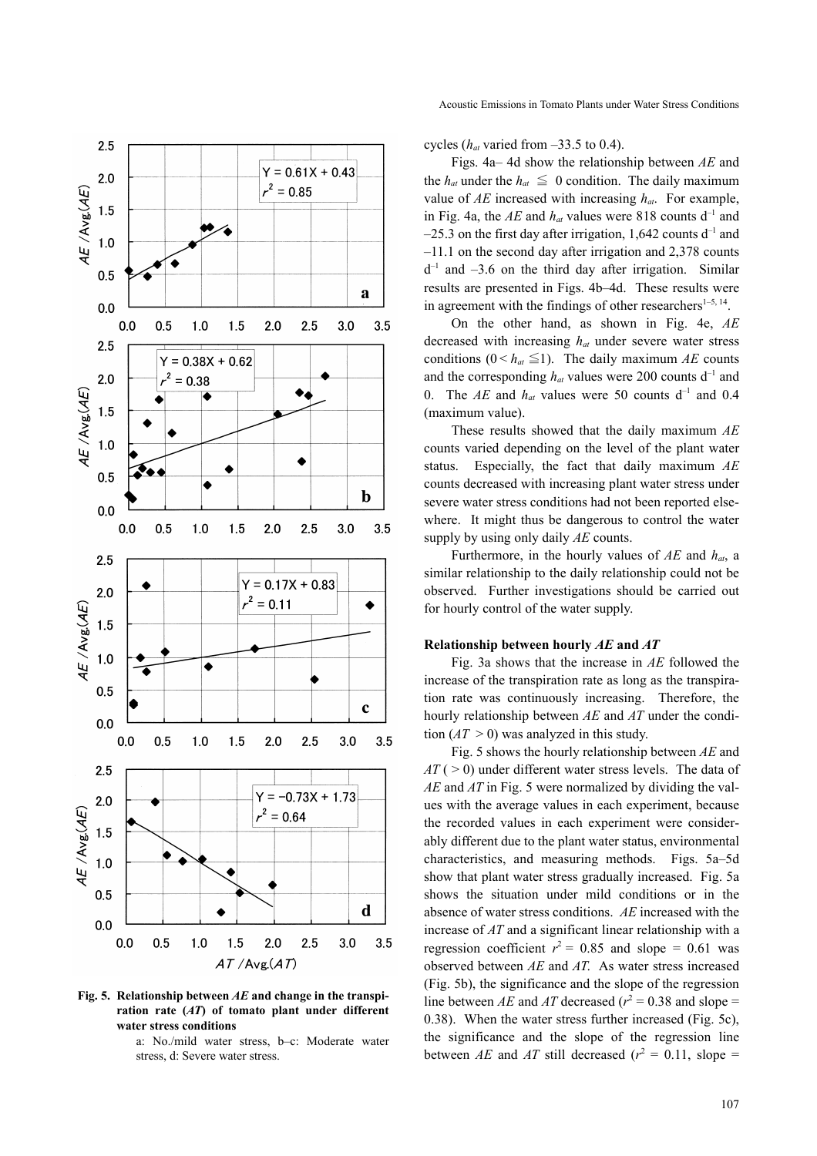

**Fig. 5. Relationship between** *AE* **and change in the transpiration rate (***AT***) of tomato plant under different water stress conditions** 

a: No./mild water stress, b–c: Moderate water stress, d: Severe water stress.

cycles (*hat* varied from –33.5 to 0.4).

Figs. 4a– 4d show the relationship between *AE* and the  $h_{at}$  under the  $h_{at} \leq 0$  condition. The daily maximum value of  $AE$  increased with increasing  $h_{at}$ . For example, in Fig. 4a, the  $AE$  and  $h_{at}$  values were 818 counts  $d^{-1}$  and  $-25.3$  on the first day after irrigation, 1,642 counts d<sup>-1</sup> and –11.1 on the second day after irrigation and 2,378 counts  $d^{-1}$  and  $-3.6$  on the third day after irrigation. Similar results are presented in Figs. 4b–4d. These results were in agreement with the findings of other researchers $1-5$ ,  $14$ .

On the other hand, as shown in Fig. 4e, *AE* decreased with increasing *hat* under severe water stress conditions ( $0 \leq h_{at} \leq 1$ ). The daily maximum *AE* counts and the corresponding  $h_{at}$  values were 200 counts  $d^{-1}$  and 0. The *AE* and  $h_{at}$  values were 50 counts  $d^{-1}$  and 0.4 (maximum value).

These results showed that the daily maximum *AE* counts varied depending on the level of the plant water status. Especially, the fact that daily maximum *AE* counts decreased with increasing plant water stress under severe water stress conditions had not been reported elsewhere. It might thus be dangerous to control the water supply by using only daily *AE* counts.

Furthermore, in the hourly values of *AE* and *hat*, a similar relationship to the daily relationship could not be observed. Further investigations should be carried out for hourly control of the water supply.

# **Relationship between hourly** *AE* **and** *AT*

Fig. 3a shows that the increase in *AE* followed the increase of the transpiration rate as long as the transpiration rate was continuously increasing. Therefore, the hourly relationship between *AE* and *AT* under the condition  $(AT > 0)$  was analyzed in this study.

Fig. 5 shows the hourly relationship between *AE* and  $AT$  ( $>$  0) under different water stress levels. The data of *AE* and *AT* in Fig. 5 were normalized by dividing the values with the average values in each experiment, because the recorded values in each experiment were considerably different due to the plant water status, environmental characteristics, and measuring methods. Figs. 5a–5d show that plant water stress gradually increased. Fig. 5a shows the situation under mild conditions or in the absence of water stress conditions. *AE* increased with the increase of *AT* and a significant linear relationship with a regression coefficient  $r^2 = 0.85$  and slope = 0.61 was observed between *AE* and *AT*. As water stress increased (Fig. 5b), the significance and the slope of the regression line between *AE* and *AT* decreased ( $r^2 = 0.38$  and slope = 0.38). When the water stress further increased (Fig. 5c), the significance and the slope of the regression line between *AE* and *AT* still decreased ( $r^2 = 0.11$ , slope =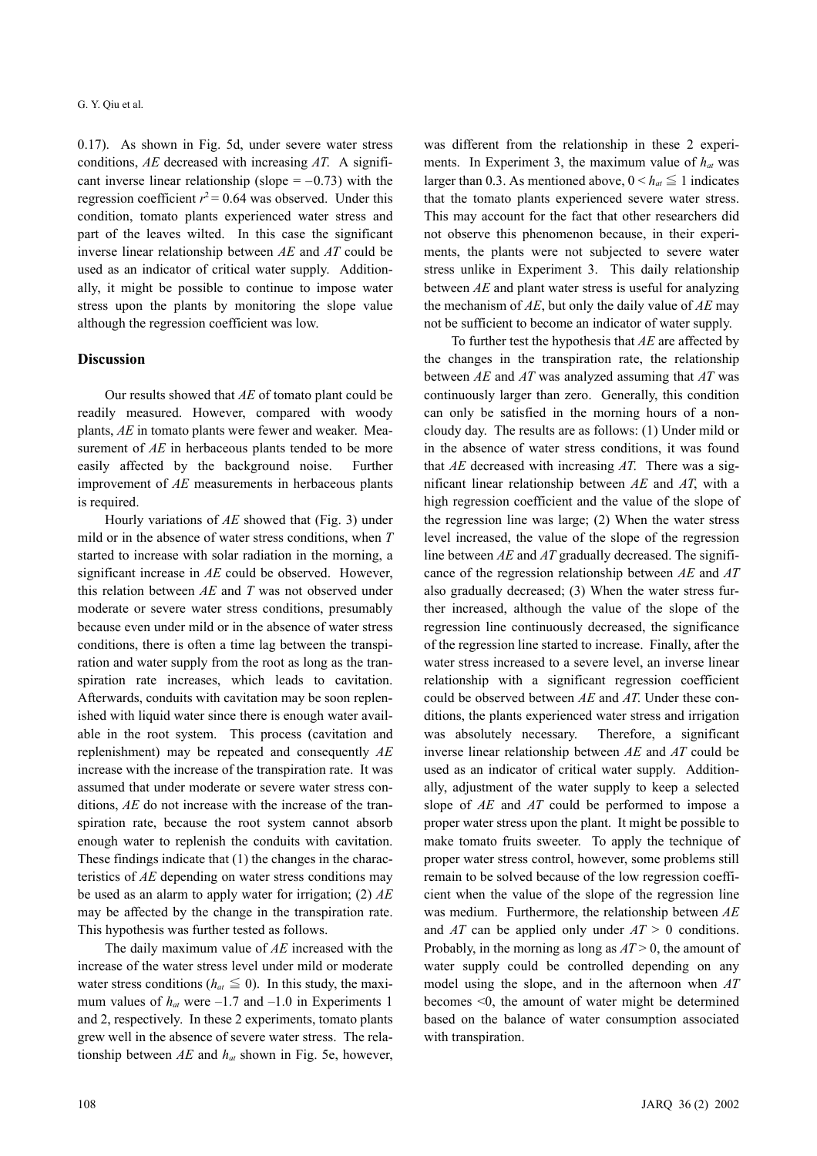0.17). As shown in Fig. 5d, under severe water stress conditions, *AE* decreased with increasing *AT*. A significant inverse linear relationship (slope  $= -0.73$ ) with the regression coefficient  $r^2$  = 0.64 was observed. Under this condition, tomato plants experienced water stress and part of the leaves wilted. In this case the significant inverse linear relationship between *AE* and *AT* could be used as an indicator of critical water supply. Additionally, it might be possible to continue to impose water stress upon the plants by monitoring the slope value although the regression coefficient was low.

#### **Discussion**

Our results showed that *AE* of tomato plant could be readily measured. However, compared with woody plants, *AE* in tomato plants were fewer and weaker. Measurement of *AE* in herbaceous plants tended to be more easily affected by the background noise. Further improvement of *AE* measurements in herbaceous plants is required.

Hourly variations of *AE* showed that (Fig. 3) under mild or in the absence of water stress conditions, when *T* started to increase with solar radiation in the morning, a significant increase in *AE* could be observed. However, this relation between *AE* and *T* was not observed under moderate or severe water stress conditions, presumably because even under mild or in the absence of water stress conditions, there is often a time lag between the transpiration and water supply from the root as long as the transpiration rate increases, which leads to cavitation. Afterwards, conduits with cavitation may be soon replenished with liquid water since there is enough water available in the root system. This process (cavitation and replenishment) may be repeated and consequently *AE* increase with the increase of the transpiration rate. It was assumed that under moderate or severe water stress conditions, *AE* do not increase with the increase of the transpiration rate, because the root system cannot absorb enough water to replenish the conduits with cavitation. These findings indicate that (1) the changes in the characteristics of *AE* depending on water stress conditions may be used as an alarm to apply water for irrigation; (2) *AE* may be affected by the change in the transpiration rate. This hypothesis was further tested as follows.

The daily maximum value of *AE* increased with the increase of the water stress level under mild or moderate water stress conditions ( $h_{at} \leq 0$ ). In this study, the maximum values of  $h_{at}$  were  $-1.7$  and  $-1.0$  in Experiments 1 and 2, respectively. In these 2 experiments, tomato plants grew well in the absence of severe water stress. The relationship between *AE* and *hat* shown in Fig. 5e, however, was different from the relationship in these 2 experiments. In Experiment 3, the maximum value of  $h_{at}$  was larger than 0.3. As mentioned above,  $0 < h_{at} \leq 1$  indicates that the tomato plants experienced severe water stress. This may account for the fact that other researchers did not observe this phenomenon because, in their experiments, the plants were not subjected to severe water stress unlike in Experiment 3. This daily relationship between *AE* and plant water stress is useful for analyzing the mechanism of *AE*, but only the daily value of *AE* may not be sufficient to become an indicator of water supply.

To further test the hypothesis that *AE* are affected by the changes in the transpiration rate, the relationship between *AE* and *AT* was analyzed assuming that *AT* was continuously larger than zero. Generally, this condition can only be satisfied in the morning hours of a noncloudy day. The results are as follows: (1) Under mild or in the absence of water stress conditions, it was found that *AE* decreased with increasing *AT*. There was a significant linear relationship between *AE* and *AT*, with a high regression coefficient and the value of the slope of the regression line was large; (2) When the water stress level increased, the value of the slope of the regression line between *AE* and *AT* gradually decreased. The significance of the regression relationship between *AE* and *AT* also gradually decreased; (3) When the water stress further increased, although the value of the slope of the regression line continuously decreased, the significance of the regression line started to increase. Finally, after the water stress increased to a severe level, an inverse linear relationship with a significant regression coefficient could be observed between *AE* and *AT*. Under these conditions, the plants experienced water stress and irrigation was absolutely necessary. Therefore, a significant inverse linear relationship between *AE* and *AT* could be used as an indicator of critical water supply. Additionally, adjustment of the water supply to keep a selected slope of *AE* and *AT* could be performed to impose a proper water stress upon the plant. It might be possible to make tomato fruits sweeter. To apply the technique of proper water stress control, however, some problems still remain to be solved because of the low regression coefficient when the value of the slope of the regression line was medium. Furthermore, the relationship between *AE* and *AT* can be applied only under *AT* > 0 conditions. Probably, in the morning as long as *AT* > 0, the amount of water supply could be controlled depending on any model using the slope, and in the afternoon when *AT* becomes <0, the amount of water might be determined based on the balance of water consumption associated with transpiration.